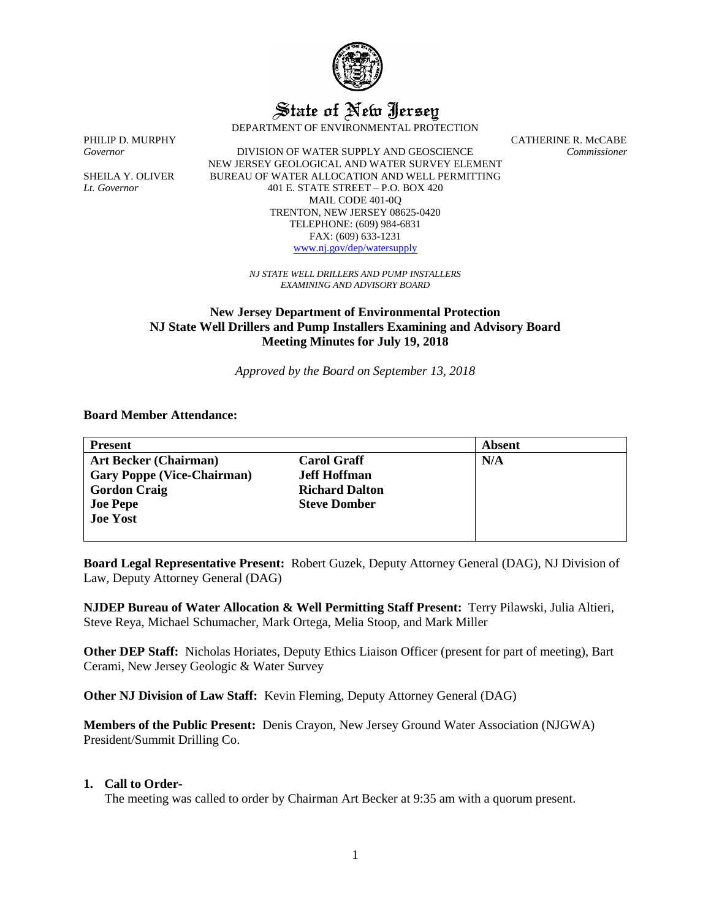

State of New Jersey

DEPARTMENT OF ENVIRONMENTAL PROTECTION

*Governor* DIVISION OF WATER SUPPLY AND GEOSCIENCE *Commissioner* NEW JERSEY GEOLOGICAL AND WATER SURVEY ELEMENT SHEILA Y. OLIVER BUREAU OF WATER ALLOCATION AND WELL PERMITTING *Lt. Governor* 401 E. STATE STREET – P.O. BOX 420 MAIL CODE 401-0Q TRENTON, NEW JERSEY 08625-0420 TELEPHONE: (609) 984-6831 FAX: (609) 633-1231 [www.nj.gov/dep/watersupply](http://www.nj.gov/dep/watersupply)

PHILIP D. MURPHY CATHERINE R. McCABE

*NJ STATE WELL DRILLERS AND PUMP INSTALLERS EXAMINING AND ADVISORY BOARD*

# **New Jersey Department of Environmental Protection NJ State Well Drillers and Pump Installers Examining and Advisory Board Meeting Minutes for July 19, 2018**

*Approved by the Board on September 13, 2018*

## **Board Member Attendance:**

| <b>Present</b>                    |                       | <b>Absent</b> |
|-----------------------------------|-----------------------|---------------|
| <b>Art Becker (Chairman)</b>      | <b>Carol Graff</b>    | N/A           |
| <b>Gary Poppe (Vice-Chairman)</b> | <b>Jeff Hoffman</b>   |               |
| <b>Gordon Craig</b>               | <b>Richard Dalton</b> |               |
| <b>Joe Pepe</b>                   | <b>Steve Domber</b>   |               |
| <b>Joe Yost</b>                   |                       |               |
|                                   |                       |               |

**Board Legal Representative Present:** Robert Guzek, Deputy Attorney General (DAG), NJ Division of Law, Deputy Attorney General (DAG)

**NJDEP Bureau of Water Allocation & Well Permitting Staff Present:** Terry Pilawski, Julia Altieri, Steve Reya, Michael Schumacher, Mark Ortega, Melia Stoop, and Mark Miller

**Other DEP Staff:** Nicholas Horiates, Deputy Ethics Liaison Officer (present for part of meeting), Bart Cerami, New Jersey Geologic & Water Survey

**Other NJ Division of Law Staff:** Kevin Fleming, Deputy Attorney General (DAG)

**Members of the Public Present:** Denis Crayon, New Jersey Ground Water Association (NJGWA) President/Summit Drilling Co.

#### **1. Call to Order-**

The meeting was called to order by Chairman Art Becker at 9:35 am with a quorum present.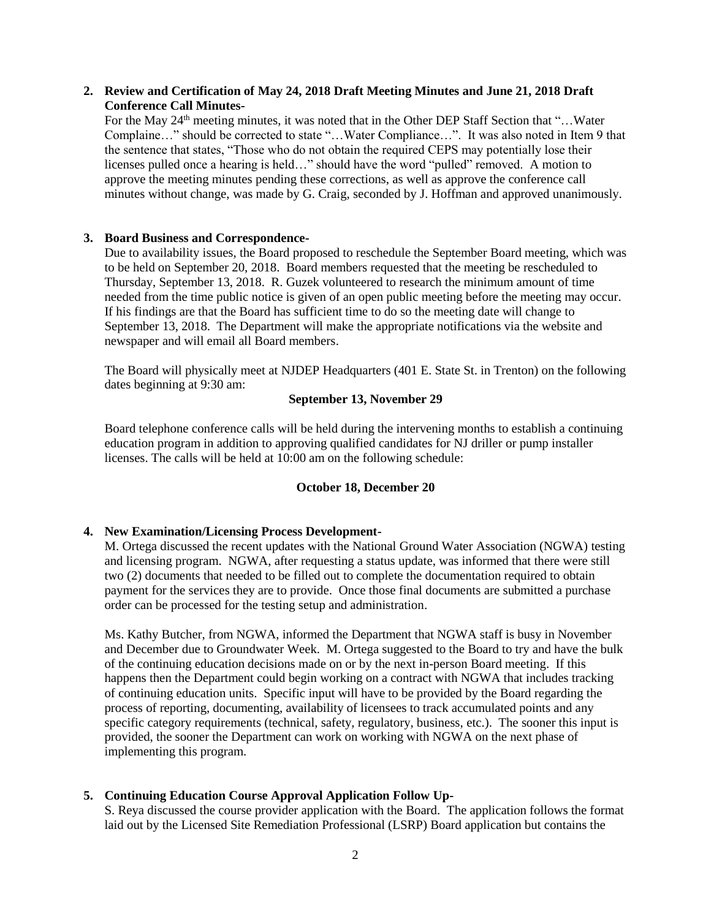## **2. Review and Certification of May 24, 2018 Draft Meeting Minutes and June 21, 2018 Draft Conference Call Minutes-**

For the May  $24<sup>th</sup>$  meeting minutes, it was noted that in the Other DEP Staff Section that "... Water Complaine…" should be corrected to state "…Water Compliance…". It was also noted in Item 9 that the sentence that states, "Those who do not obtain the required CEPS may potentially lose their licenses pulled once a hearing is held…" should have the word "pulled" removed. A motion to approve the meeting minutes pending these corrections, as well as approve the conference call minutes without change, was made by G. Craig, seconded by J. Hoffman and approved unanimously.

## **3. Board Business and Correspondence-**

Due to availability issues, the Board proposed to reschedule the September Board meeting, which was to be held on September 20, 2018. Board members requested that the meeting be rescheduled to Thursday, September 13, 2018. R. Guzek volunteered to research the minimum amount of time needed from the time public notice is given of an open public meeting before the meeting may occur. If his findings are that the Board has sufficient time to do so the meeting date will change to September 13, 2018. The Department will make the appropriate notifications via the website and newspaper and will email all Board members.

The Board will physically meet at NJDEP Headquarters (401 E. State St. in Trenton) on the following dates beginning at 9:30 am:

# **September 13, November 29**

Board telephone conference calls will be held during the intervening months to establish a continuing education program in addition to approving qualified candidates for NJ driller or pump installer licenses. The calls will be held at 10:00 am on the following schedule:

## **October 18, December 20**

## **4. New Examination/Licensing Process Development-**

M. Ortega discussed the recent updates with the National Ground Water Association (NGWA) testing and licensing program. NGWA, after requesting a status update, was informed that there were still two (2) documents that needed to be filled out to complete the documentation required to obtain payment for the services they are to provide. Once those final documents are submitted a purchase order can be processed for the testing setup and administration.

Ms. Kathy Butcher, from NGWA, informed the Department that NGWA staff is busy in November and December due to Groundwater Week. M. Ortega suggested to the Board to try and have the bulk of the continuing education decisions made on or by the next in-person Board meeting. If this happens then the Department could begin working on a contract with NGWA that includes tracking of continuing education units. Specific input will have to be provided by the Board regarding the process of reporting, documenting, availability of licensees to track accumulated points and any specific category requirements (technical, safety, regulatory, business, etc.). The sooner this input is provided, the sooner the Department can work on working with NGWA on the next phase of implementing this program.

## **5. Continuing Education Course Approval Application Follow Up-**

S. Reya discussed the course provider application with the Board. The application follows the format laid out by the Licensed Site Remediation Professional (LSRP) Board application but contains the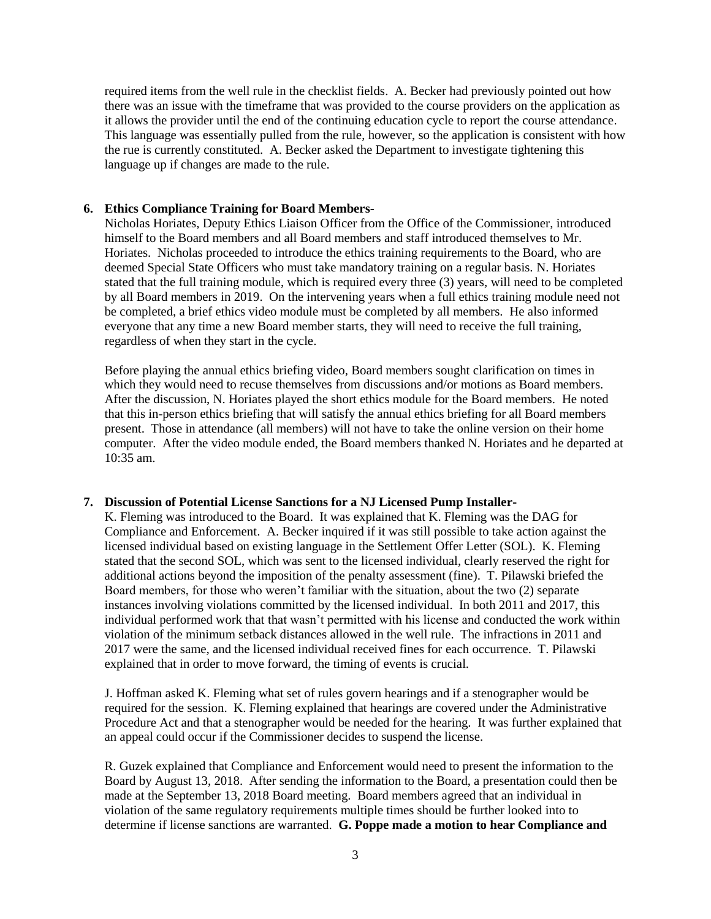required items from the well rule in the checklist fields. A. Becker had previously pointed out how there was an issue with the timeframe that was provided to the course providers on the application as it allows the provider until the end of the continuing education cycle to report the course attendance. This language was essentially pulled from the rule, however, so the application is consistent with how the rue is currently constituted. A. Becker asked the Department to investigate tightening this language up if changes are made to the rule.

#### **6. Ethics Compliance Training for Board Members-**

Nicholas Horiates, Deputy Ethics Liaison Officer from the Office of the Commissioner, introduced himself to the Board members and all Board members and staff introduced themselves to Mr. Horiates. Nicholas proceeded to introduce the ethics training requirements to the Board, who are deemed Special State Officers who must take mandatory training on a regular basis. N. Horiates stated that the full training module, which is required every three (3) years, will need to be completed by all Board members in 2019. On the intervening years when a full ethics training module need not be completed, a brief ethics video module must be completed by all members. He also informed everyone that any time a new Board member starts, they will need to receive the full training, regardless of when they start in the cycle.

Before playing the annual ethics briefing video, Board members sought clarification on times in which they would need to recuse themselves from discussions and/or motions as Board members. After the discussion, N. Horiates played the short ethics module for the Board members. He noted that this in-person ethics briefing that will satisfy the annual ethics briefing for all Board members present. Those in attendance (all members) will not have to take the online version on their home computer. After the video module ended, the Board members thanked N. Horiates and he departed at 10:35 am.

#### **7. Discussion of Potential License Sanctions for a NJ Licensed Pump Installer-**

K. Fleming was introduced to the Board. It was explained that K. Fleming was the DAG for Compliance and Enforcement. A. Becker inquired if it was still possible to take action against the licensed individual based on existing language in the Settlement Offer Letter (SOL). K. Fleming stated that the second SOL, which was sent to the licensed individual, clearly reserved the right for additional actions beyond the imposition of the penalty assessment (fine). T. Pilawski briefed the Board members, for those who weren't familiar with the situation, about the two (2) separate instances involving violations committed by the licensed individual. In both 2011 and 2017, this individual performed work that that wasn't permitted with his license and conducted the work within violation of the minimum setback distances allowed in the well rule. The infractions in 2011 and 2017 were the same, and the licensed individual received fines for each occurrence. T. Pilawski explained that in order to move forward, the timing of events is crucial.

J. Hoffman asked K. Fleming what set of rules govern hearings and if a stenographer would be required for the session. K. Fleming explained that hearings are covered under the Administrative Procedure Act and that a stenographer would be needed for the hearing. It was further explained that an appeal could occur if the Commissioner decides to suspend the license.

R. Guzek explained that Compliance and Enforcement would need to present the information to the Board by August 13, 2018. After sending the information to the Board, a presentation could then be made at the September 13, 2018 Board meeting. Board members agreed that an individual in violation of the same regulatory requirements multiple times should be further looked into to determine if license sanctions are warranted. **G. Poppe made a motion to hear Compliance and**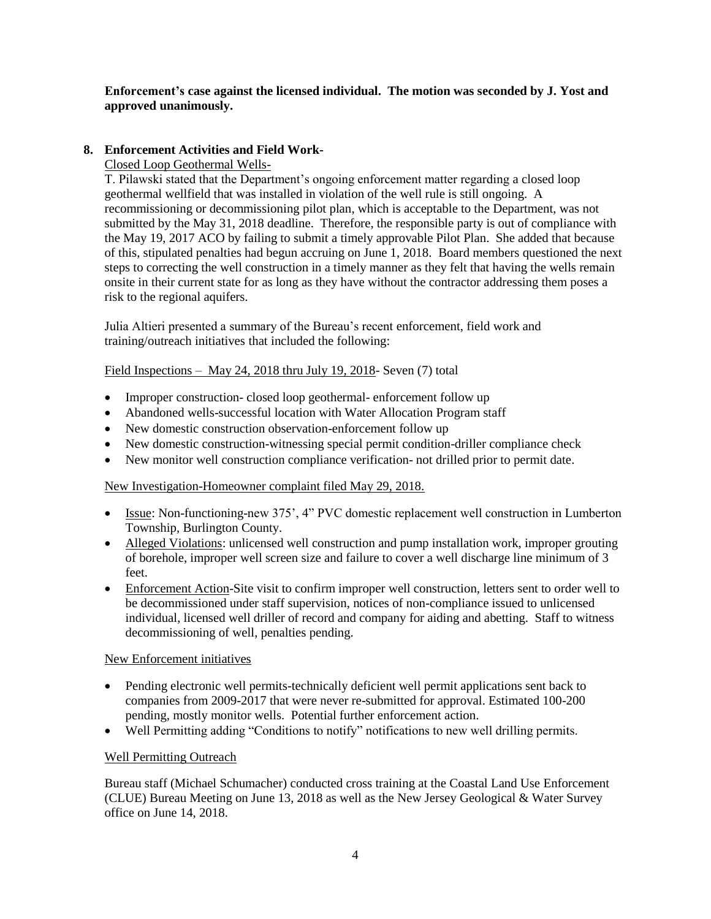# **Enforcement's case against the licensed individual. The motion was seconded by J. Yost and approved unanimously.**

# **8. Enforcement Activities and Field Work-**

Closed Loop Geothermal Wells-

T. Pilawski stated that the Department's ongoing enforcement matter regarding a closed loop geothermal wellfield that was installed in violation of the well rule is still ongoing. A recommissioning or decommissioning pilot plan, which is acceptable to the Department, was not submitted by the May 31, 2018 deadline. Therefore, the responsible party is out of compliance with the May 19, 2017 ACO by failing to submit a timely approvable Pilot Plan. She added that because of this, stipulated penalties had begun accruing on June 1, 2018. Board members questioned the next steps to correcting the well construction in a timely manner as they felt that having the wells remain onsite in their current state for as long as they have without the contractor addressing them poses a risk to the regional aquifers.

Julia Altieri presented a summary of the Bureau's recent enforcement, field work and training/outreach initiatives that included the following:

Field Inspections – May 24, 2018 thru July 19, 2018- Seven (7) total

- Improper construction-closed loop geothermal-enforcement follow up
- Abandoned wells-successful location with Water Allocation Program staff
- New domestic construction observation-enforcement follow up
- New domestic construction-witnessing special permit condition-driller compliance check
- New monitor well construction compliance verification- not drilled prior to permit date.

## New Investigation-Homeowner complaint filed May 29, 2018.

- Issue: Non-functioning-new 375', 4" PVC domestic replacement well construction in Lumberton Township, Burlington County.
- Alleged Violations: unlicensed well construction and pump installation work, improper grouting of borehole, improper well screen size and failure to cover a well discharge line minimum of 3 feet.
- Enforcement Action-Site visit to confirm improper well construction, letters sent to order well to be decommissioned under staff supervision, notices of non-compliance issued to unlicensed individual, licensed well driller of record and company for aiding and abetting. Staff to witness decommissioning of well, penalties pending.

## New Enforcement initiatives

- Pending electronic well permits-technically deficient well permit applications sent back to companies from 2009-2017 that were never re-submitted for approval. Estimated 100-200 pending, mostly monitor wells. Potential further enforcement action.
- Well Permitting adding "Conditions to notify" notifications to new well drilling permits.

## Well Permitting Outreach

Bureau staff (Michael Schumacher) conducted cross training at the Coastal Land Use Enforcement (CLUE) Bureau Meeting on June 13, 2018 as well as the New Jersey Geological & Water Survey office on June 14, 2018.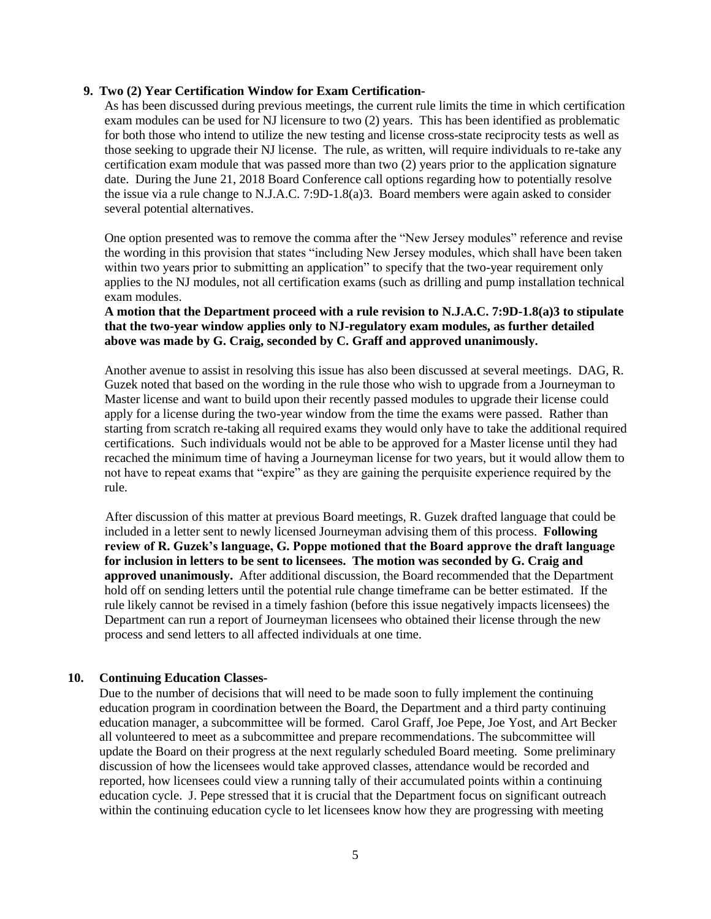#### **9. Two (2) Year Certification Window for Exam Certification-**

As has been discussed during previous meetings, the current rule limits the time in which certification exam modules can be used for NJ licensure to two (2) years. This has been identified as problematic for both those who intend to utilize the new testing and license cross-state reciprocity tests as well as those seeking to upgrade their NJ license. The rule, as written, will require individuals to re-take any certification exam module that was passed more than two (2) years prior to the application signature date. During the June 21, 2018 Board Conference call options regarding how to potentially resolve the issue via a rule change to N.J.A.C. 7:9D-1.8(a)3. Board members were again asked to consider several potential alternatives.

One option presented was to remove the comma after the "New Jersey modules" reference and revise the wording in this provision that states "including New Jersey modules, which shall have been taken within two years prior to submitting an application" to specify that the two-year requirement only applies to the NJ modules, not all certification exams (such as drilling and pump installation technical exam modules.

**A motion that the Department proceed with a rule revision to N.J.A.C. 7:9D-1.8(a)3 to stipulate that the two-year window applies only to NJ-regulatory exam modules, as further detailed above was made by G. Craig, seconded by C. Graff and approved unanimously.**

Another avenue to assist in resolving this issue has also been discussed at several meetings. DAG, R. Guzek noted that based on the wording in the rule those who wish to upgrade from a Journeyman to Master license and want to build upon their recently passed modules to upgrade their license could apply for a license during the two-year window from the time the exams were passed. Rather than starting from scratch re-taking all required exams they would only have to take the additional required certifications. Such individuals would not be able to be approved for a Master license until they had recached the minimum time of having a Journeyman license for two years, but it would allow them to not have to repeat exams that "expire" as they are gaining the perquisite experience required by the rule.

After discussion of this matter at previous Board meetings, R. Guzek drafted language that could be included in a letter sent to newly licensed Journeyman advising them of this process. **Following review of R. Guzek's language, G. Poppe motioned that the Board approve the draft language for inclusion in letters to be sent to licensees. The motion was seconded by G. Craig and approved unanimously.** After additional discussion, the Board recommended that the Department hold off on sending letters until the potential rule change timeframe can be better estimated. If the rule likely cannot be revised in a timely fashion (before this issue negatively impacts licensees) the Department can run a report of Journeyman licensees who obtained their license through the new process and send letters to all affected individuals at one time.

#### **10. Continuing Education Classes-**

Due to the number of decisions that will need to be made soon to fully implement the continuing education program in coordination between the Board, the Department and a third party continuing education manager, a subcommittee will be formed.Carol Graff, Joe Pepe, Joe Yost, and Art Becker all volunteered to meet as a subcommittee and prepare recommendations. The subcommittee will update the Board on their progress at the next regularly scheduled Board meeting. Some preliminary discussion of how the licensees would take approved classes, attendance would be recorded and reported, how licensees could view a running tally of their accumulated points within a continuing education cycle. J. Pepe stressed that it is crucial that the Department focus on significant outreach within the continuing education cycle to let licensees know how they are progressing with meeting